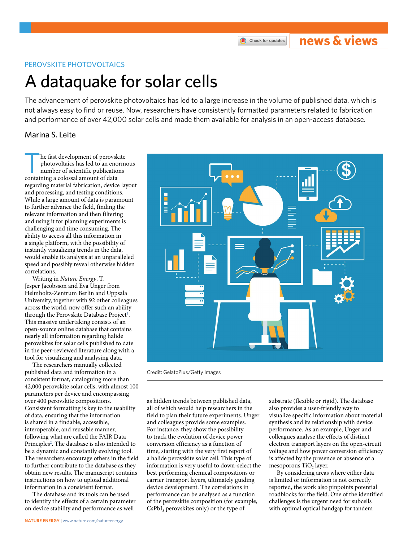# **news & views**

## PEROVSKITE PHOTOVOLTAICS

# A dataquake for solar cells

The advancement of perovskite photovoltaics has led to a large increase in the volume of published data, which is not always easy to fnd or reuse. Now, researchers have consistently formatted parameters related to fabrication and performance of over 42,000 solar cells and made them available for analysis in an open-access database.

# Marina S. Leite

he fast development of perovskite photovoltaics has led to an enormous number of scientific publications containing a colossal amount of data regarding material fabrication, device layout and processing, and testing conditions. While a large amount of data is paramount to further advance the field, finding the relevant information and then filtering and using it for planning experiments is challenging and time consuming. The ability to access all this information in a single platform, with the possibility of instantly visualizing trends in the data, would enable its analysis at an unparalleled speed and possibly reveal otherwise hidden correlations.

Writing in *Nature Energy*, T. Jesper Jacobsson and Eva Unger from Helmholtz-Zentrum Berlin and Uppsala University, together with 92 other colleagues across the world, now offer such an ability through the Perovskite Database Project<sup>[1](#page-1-0)</sup>. This massive undertaking consists of an open-source online database that contains nearly all information regarding halide perovskites for solar cells published to date in the peer-reviewed literature along with a tool for visualizing and analysing data.

The researchers manually collected published data and information in a consistent format, cataloguing more than 42,000 perovskite solar cells, with almost 100 parameters per device and encompassing over 400 perovskite compositions. Consistent formatting is key to the usability of data, ensuring that the information is shared in a findable, accessible, interoperable, and reusable manner, following what are called the FAIR Data Principles<sup>2</sup>. The database is also intended to be a dynamic and constantly evolving tool. The researchers encourage others in the field to further contribute to the database as they obtain new results. The manuscript contains instructions on how to upload additional information in a consistent format.

The database and its tools can be used to identify the effects of a certain parameter on device stability and performance as well



Credit: GelatoPlus/Getty Images

as hidden trends between published data, all of which would help researchers in the field to plan their future experiments. Unger and colleagues provide some examples. For instance, they show the possibility to track the evolution of device power conversion efficiency as a function of time, starting with the very first report of a halide perovskite solar cell. This type of information is very useful to down-select the best performing chemical compositions or carrier transport layers, ultimately guiding device development. The correlations in performance can be analysed as a function of the perovskite composition (for example,  $CsPbI<sub>3</sub>$  perovskites only) or the type of

substrate (flexible or rigid). The database also provides a user-friendly way to visualize specific information about material synthesis and its relationship with device performance. As an example, Unger and colleagues analyse the effects of distinct electron transport layers on the open-circuit voltage and how power conversion efficiency is affected by the presence or absence of a mesoporous TiO<sub>2</sub> layer.

By considering areas where either data is limited or information is not correctly reported, the work also pinpoints potential roadblocks for the field. One of the identified challenges is the urgent need for subcells with optimal optical bandgap for tandem